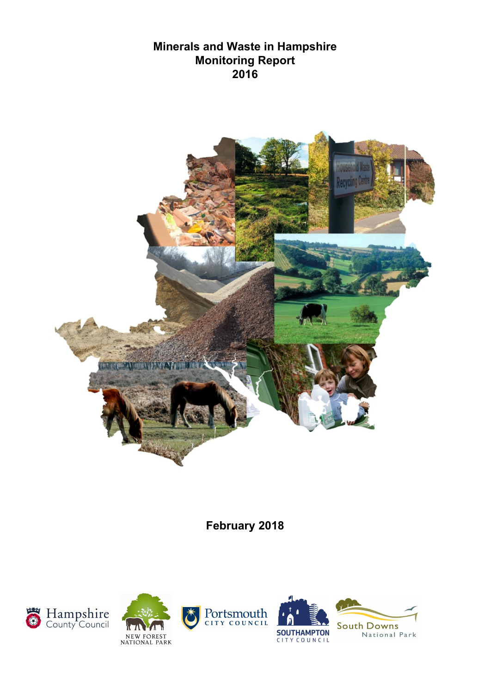## **Minerals and Waste in Hampshire Monitoring Report 2016**



**February 2018**









National Park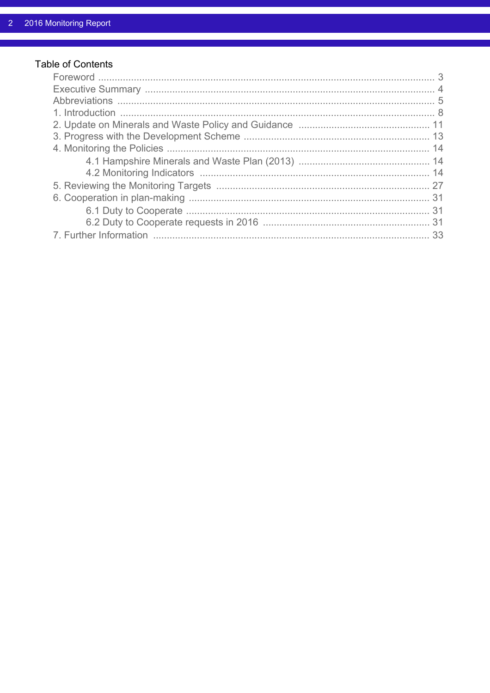## Table of Contents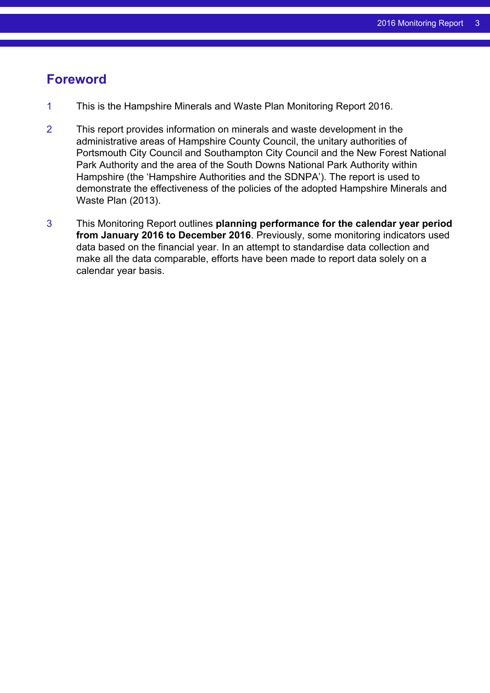## <span id="page-2-0"></span>**Foreword**

- 1 This is the Hampshire Minerals and Waste Plan Monitoring Report 2016.
- 2 This report provides information on minerals and waste development in the administrative areas of Hampshire County Council, the unitary authorities of Portsmouth City Council and Southampton City Council and the New Forest National Park Authority and the area of the South Downs National Park Authority within Hampshire (the 'Hampshire Authorities and the SDNPA'). The report is used to demonstrate the effectiveness of the policies of the adopted Hampshire Minerals and Waste Plan (2013).
- 3 This Monitoring Report outlines **planning performance for the calendar year period from January 2016 to December 2016**. Previously, some monitoring indicators used data based on the financial year. In an attempt to standardise data collection and make all the data comparable, efforts have been made to report data solely on a calendar year basis.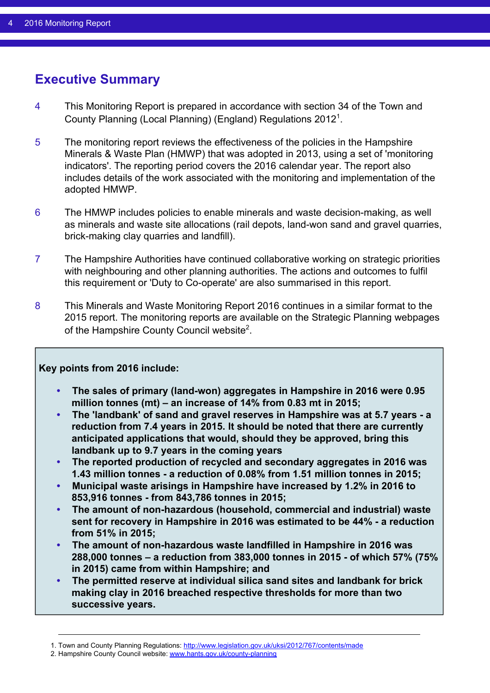# <span id="page-3-0"></span>**Executive Summary**

- 4 This Monitoring Report is prepared in accordance with section 34 of the Town and County Planning (Local Planning) (England) Regulations 2012<sup>1</sup>.
- 5 The monitoring report reviews the effectiveness of the policies in the Hampshire Minerals & Waste Plan (HMWP) that was adopted in 2013, using a set of 'monitoring indicators'. The reporting period covers the 2016 calendar year. The report also includes details of the work associated with the monitoring and implementation of the adopted HMWP.
- 6 The HMWP includes policies to enable minerals and waste decision-making, as well as minerals and waste site allocations (rail depots, land-won sand and gravel quarries, brick-making clay quarries and landfill).
- 7 The Hampshire Authorities have continued collaborative working on strategic priorities with neighbouring and other planning authorities. The actions and outcomes to fulfil this requirement or 'Duty to Co-operate' are also summarised in this report.
- 8 This Minerals and Waste Monitoring Report 2016 continues in a similar format to the 2015 report. The monitoring reports are available on the Strategic Planning webpages of the Hampshire County Council website<sup>2</sup>.

#### **Key points from 2016 include:**

- **• The sales of primary (land-won) aggregates in Hampshire in 2016 were 0.95 million tonnes (mt) – an increase of 14% from 0.83 mt in 2015;**
- **• The 'landbank' of sand and gravel reserves in Hampshire was at 5.7 years a reduction from 7.4 years in 2015. It should be noted that there are currently anticipated applications that would, should they be approved, bring this landbank up to 9.7 years in the coming years**
- **• The reported production of recycled and secondary aggregates in 2016 was 1.43 million tonnes - a reduction of 0.08% from 1.51 million tonnes in 2015;**
- **• Municipal waste arisings in Hampshire have increased by 1.2% in 2016 to 853,916 tonnes - from 843,786 tonnes in 2015;**
- **• The amount of non-hazardous (household, commercial and industrial) waste sent for recovery in Hampshire in 2016 was estimated to be 44% - a reduction from 51% in 2015;**
- **• The amount of non-hazardous waste landfilled in Hampshire in 2016 was 288,000 tonnes – a reduction from 383,000 tonnes in 2015 - of which 57% (75% in 2015) came from within Hampshire; and**
- **• The permitted reserve at individual silica sand sites and landbank for brick making clay in 2016 breached respective thresholds for more than two successive years.**

<sup>1.</sup> Town and County Planning Regulations: <http://www.legislation.gov.uk/uksi/2012/767/contents/made>

<sup>2.</sup> Hampshire County Council website: [www.hants.gov.uk/county-planning](http://www.hants.gov.uk/county-planning)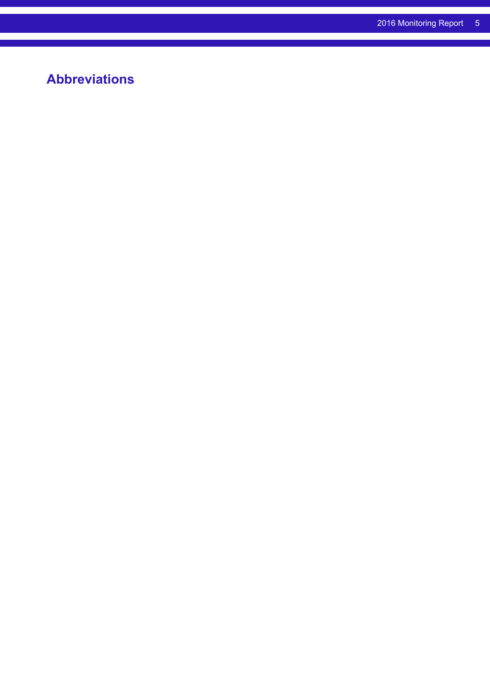# <span id="page-4-0"></span>**Abbreviations**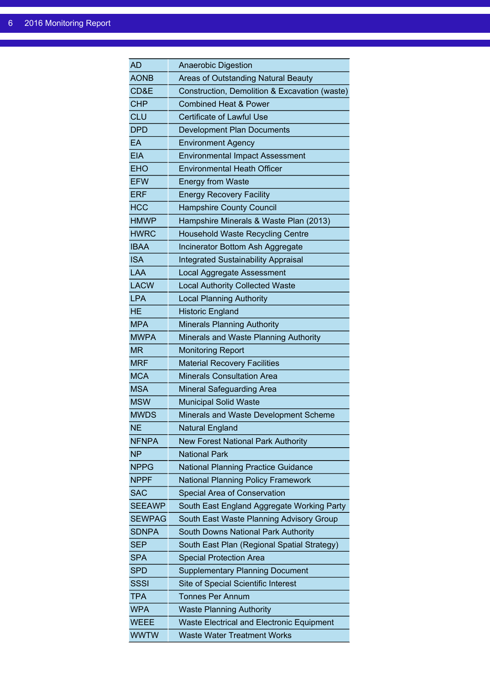| AD            | <b>Anaerobic Digestion</b>                       |
|---------------|--------------------------------------------------|
| <b>AONB</b>   | Areas of Outstanding Natural Beauty              |
| CD&E          | Construction, Demolition & Excavation (waste)    |
| <b>CHP</b>    | <b>Combined Heat &amp; Power</b>                 |
| CLU           | Certificate of Lawful Use                        |
| <b>DPD</b>    | <b>Development Plan Documents</b>                |
| EA            | <b>Environment Agency</b>                        |
| <b>EIA</b>    | <b>Environmental Impact Assessment</b>           |
| <b>EHO</b>    | <b>Environmental Heath Officer</b>               |
| <b>EFW</b>    | <b>Energy from Waste</b>                         |
| <b>ERF</b>    | <b>Energy Recovery Facility</b>                  |
| <b>HCC</b>    | <b>Hampshire County Council</b>                  |
| <b>HMWP</b>   | Hampshire Minerals & Waste Plan (2013)           |
| <b>HWRC</b>   | <b>Household Waste Recycling Centre</b>          |
| <b>IBAA</b>   | Incinerator Bottom Ash Aggregate                 |
| <b>ISA</b>    | <b>Integrated Sustainability Appraisal</b>       |
| LAA           | Local Aggregate Assessment                       |
| <b>LACW</b>   | <b>Local Authority Collected Waste</b>           |
| <b>LPA</b>    | <b>Local Planning Authority</b>                  |
| <b>HE</b>     | <b>Historic England</b>                          |
| <b>MPA</b>    | <b>Minerals Planning Authority</b>               |
| <b>MWPA</b>   | Minerals and Waste Planning Authority            |
| <b>MR</b>     | <b>Monitoring Report</b>                         |
| <b>MRF</b>    | <b>Material Recovery Facilities</b>              |
| <b>MCA</b>    | <b>Minerals Consultation Area</b>                |
| <b>MSA</b>    | <b>Mineral Safeguarding Area</b>                 |
| <b>MSW</b>    | <b>Municipal Solid Waste</b>                     |
| <b>MWDS</b>   | Minerals and Waste Development Scheme            |
| NΕ            | Natural England                                  |
| <b>NFNPA</b>  | <b>New Forest National Park Authority</b>        |
| <b>NP</b>     | <b>National Park</b>                             |
| <b>NPPG</b>   | <b>National Planning Practice Guidance</b>       |
| NPPF          | <b>National Planning Policy Framework</b>        |
| SAC           | Special Area of Conservation                     |
| <b>SEEAWP</b> | South East England Aggregate Working Party       |
| <b>SEWPAG</b> | South East Waste Planning Advisory Group         |
| <b>SDNPA</b>  | South Downs National Park Authority              |
| <b>SEP</b>    | South East Plan (Regional Spatial Strategy)      |
| <b>SPA</b>    | <b>Special Protection Area</b>                   |
| SPD           | <b>Supplementary Planning Document</b>           |
| SSSI          | Site of Special Scientific Interest              |
| <b>TPA</b>    | <b>Tonnes Per Annum</b>                          |
| <b>WPA</b>    | <b>Waste Planning Authority</b>                  |
| <b>WEEE</b>   | <b>Waste Electrical and Electronic Equipment</b> |
| <b>WWTW</b>   | <b>Waste Water Treatment Works</b>               |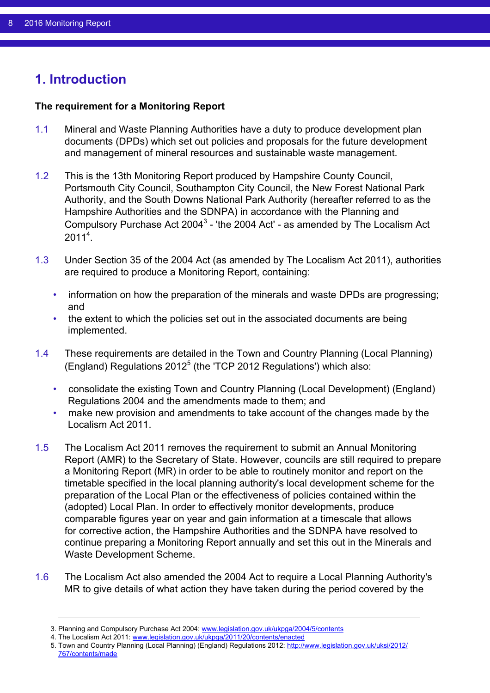# <span id="page-7-0"></span>**1. Introduction**

#### **The requirement for a Monitoring Report**

- 1.1 Mineral and Waste Planning Authorities have a duty to produce development plan documents (DPDs) which set out policies and proposals for the future development and management of mineral resources and sustainable waste management.
- 1.2 This is the 13th Monitoring Report produced by Hampshire County Council, Portsmouth City Council, Southampton City Council, the New Forest National Park Authority, and the South Downs National Park Authority (hereafter referred to as the Hampshire Authorities and the SDNPA) in accordance with the Planning and Compulsory Purchase Act 2004<sup>3</sup> - 'the 2004 Act' - as amended by The Localism Act  $2011<sup>4</sup>$ .
- 1.3 Under Section 35 of the 2004 Act (as amended by The Localism Act 2011), authorities are required to produce a Monitoring Report, containing:
	- information on how the preparation of the minerals and waste DPDs are progressing; and
	- the extent to which the policies set out in the associated documents are being implemented.
- 1.4 These requirements are detailed in the Town and Country Planning (Local Planning) (England) Regulations  $2012<sup>5</sup>$  (the 'TCP 2012 Regulations') which also:
	- consolidate the existing Town and Country Planning (Local Development) (England) Regulations 2004 and the amendments made to them; and
	- make new provision and amendments to take account of the changes made by the Localism Act 2011.
- 1.5 The Localism Act 2011 removes the requirement to submit an Annual Monitoring Report (AMR) to the Secretary of State. However, councils are still required to prepare a Monitoring Report (MR) in order to be able to routinely monitor and report on the timetable specified in the local planning authority's local development scheme for the preparation of the Local Plan or the effectiveness of policies contained within the (adopted) Local Plan. In order to effectively monitor developments, produce comparable figures year on year and gain information at a timescale that allows for corrective action, the Hampshire Authorities and the SDNPA have resolved to continue preparing a Monitoring Report annually and set this out in the Minerals and Waste Development Scheme.
- 1.6 The Localism Act also amended the 2004 Act to require a Local Planning Authority's MR to give details of what action they have taken during the period covered by the

<sup>3.</sup> Planning and Compulsory Purchase Act 2004: [www.legislation.gov.uk/ukpga/2004/5/contents](http://www.legislation.gov.uk/ukpga/2004/5/contents)

<sup>4.</sup> The Localism Act 2011: [www.legislation.gov.uk/ukpga/2011/20/contents/enacted](http://www.legislation.gov.uk/ukpga/2011/20/contents/enacted)

<sup>5.</sup> Town and Country Planning (Local Planning) (England) Regulations 2012: [http://www.legislation.gov.uk/uksi/2012/](http://www.legislation.gov.uk/uksi/2012/767/contents/made) [767/contents/made](http://www.legislation.gov.uk/uksi/2012/767/contents/made)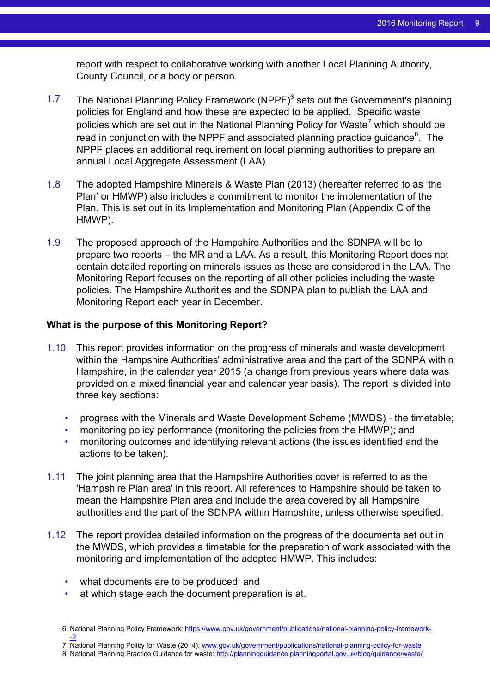report with respect to collaborative working with another Local Planning Authority, County Council, or a body or person.

- 1.7 The National Planning Policy Framework (NPPF)<sup>6</sup> sets out the Government's planning policies for England and how these are expected to be applied. Specific waste policies which are set out in the National Planning Policy for Waste<sup>7</sup> which should be read in conjunction with the NPPF and associated planning practice guidance<sup>8</sup>. The NPPF places an additional requirement on local planning authorities to prepare an annual Local Aggregate Assessment (LAA).
- 1.8 The adopted Hampshire Minerals & Waste Plan (2013) (hereafter referred to as 'the Plan' or HMWP) also includes a commitment to monitor the implementation of the Plan. This is set out in its Implementation and Monitoring Plan (Appendix C of the HMWP).
- 1.9 The proposed approach of the Hampshire Authorities and the SDNPA will be to prepare two reports – the MR and a LAA. As a result, this Monitoring Report does not contain detailed reporting on minerals issues as these are considered in the LAA. The Monitoring Report focuses on the reporting of all other policies including the waste policies. The Hampshire Authorities and the SDNPA plan to publish the LAA and Monitoring Report each year in December.

#### **What is the purpose of this Monitoring Report?**

- 1.10 This report provides information on the progress of minerals and waste development within the Hampshire Authorities' administrative area and the part of the SDNPA within Hampshire, in the calendar year 2015 (a change from previous years where data was provided on a mixed financial year and calendar year basis). The report is divided into three key sections:
	- progress with the Minerals and Waste Development Scheme (MWDS) the timetable;
	- monitoring policy performance (monitoring the policies from the HMWP); and
	- monitoring outcomes and identifying relevant actions (the issues identified and the actions to be taken).
- 1.11 The joint planning area that the Hampshire Authorities cover is referred to as the 'Hampshire Plan area' in this report. All references to Hampshire should be taken to mean the Hampshire Plan area and include the area covered by all Hampshire authorities and the part of the SDNPA within Hampshire, unless otherwise specified.
- 1.12 The report provides detailed information on the progress of the documents set out in the MWDS, which provides a timetable for the preparation of work associated with the monitoring and implementation of the adopted HMWP. This includes:
	- what documents are to be produced; and
	- at which stage each the document preparation is at.

7. National Planning Policy for Waste (2014): [www.gov.uk/government/publications/national-planning-policy-for-waste](http://www.gov.uk/government/publications/national-planning-policy-for-waste)

<sup>6.</sup> National Planning Policy Framework: [https://www.gov.uk/government/publications/national-planning-policy-framework-](https://www.gov.uk/government/publications/national-planning-policy-framework--2) [-2](https://www.gov.uk/government/publications/national-planning-policy-framework--2)

<sup>8.</sup> National Planning Practice Guidance for waste: <http://planningguidance.planningportal.gov.uk/blog/guidance/waste/>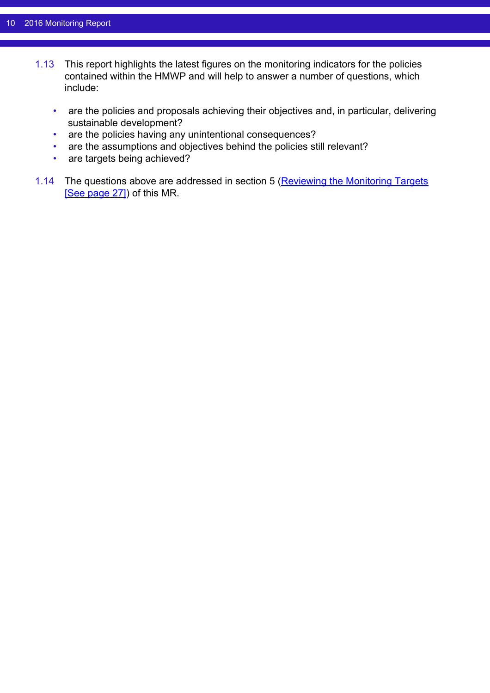- 1.13 This report highlights the latest figures on the monitoring indicators for the policies contained within the HMWP and will help to answer a number of questions, which include:
	- are the policies and proposals achieving their objectives and, in particular, delivering sustainable development?
	- are the policies having any unintentional consequences?
	- are the assumptions and objectives behind the policies still relevant?
	- are targets being achieved?
- 1.14 The questions above are addressed in section 5 [\(Reviewing the Monitoring Targets](#page-26-0) [\[See page 27\]](#page-26-0)) of this MR.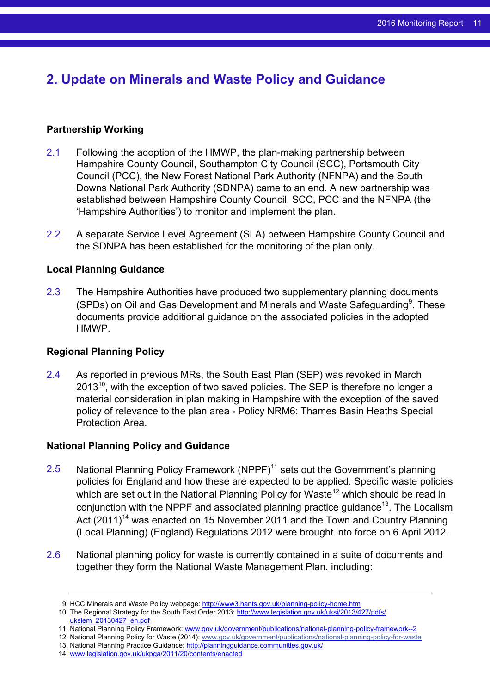# <span id="page-10-0"></span>**2. Update on Minerals and Waste Policy and Guidance**

#### **Partnership Working**

- 2.1 Following the adoption of the HMWP, the plan-making partnership between Hampshire County Council, Southampton City Council (SCC), Portsmouth City Council (PCC), the New Forest National Park Authority (NFNPA) and the South Downs National Park Authority (SDNPA) came to an end. A new partnership was established between Hampshire County Council, SCC, PCC and the NFNPA (the 'Hampshire Authorities') to monitor and implement the plan.
- 2.2 A separate Service Level Agreement (SLA) between Hampshire County Council and the SDNPA has been established for the monitoring of the plan only.

#### **Local Planning Guidance**

2.3 The Hampshire Authorities have produced two supplementary planning documents (SPDs) on Oil and Gas Development and Minerals and Waste Safeguarding $9$ . These documents provide additional guidance on the associated policies in the adopted HMWP.

#### **Regional Planning Policy**

2.4 As reported in previous MRs, the South East Plan (SEP) was revoked in March  $2013<sup>10</sup>$ , with the exception of two saved policies. The SEP is therefore no longer a material consideration in plan making in Hampshire with the exception of the saved policy of relevance to the plan area - Policy NRM6: Thames Basin Heaths Special Protection Area.

#### **National Planning Policy and Guidance**

- 2.5 National Planning Policy Framework (NPPF)<sup>11</sup> sets out the Government's planning policies for England and how these are expected to be applied. Specific waste policies which are set out in the National Planning Policy for Waste<sup>12</sup> which should be read in conjunction with the NPPF and associated planning practice guidance<sup>13</sup>. The Localism Act  $(2011)^{14}$  was enacted on 15 November 2011 and the Town and Country Planning (Local Planning) (England) Regulations 2012 were brought into force on 6 April 2012.
- 2.6 National planning policy for waste is currently contained in a suite of documents and together they form the National Waste Management Plan, including:

<sup>9.</sup> HCC Minerals and Waste Policy webpage: <http://www3.hants.gov.uk/planning-policy-home.htm>

<sup>10.</sup> The Regional Strategy for the South East Order 2013: [http://www.legislation.gov.uk/uksi/2013/427/pdfs/](http://www.legislation.gov.uk/uksi/2013/427/pdfs/uksiem_20130427_en.pdf) uksiem 20130427\_en.pdf

<sup>11.</sup> National Planning Policy Framework: [www.gov.uk/government/publications/national-planning-policy-framework--2](http://www.gov.uk/government/publications/national-planning-policy-framework--2)

<sup>12.</sup> National Planning Policy for Waste (2014): [www.gov.uk/government/publications/national-planning-policy-for-waste](http://www.gov.uk/government/publications/national-planning-policy-for-waste)

<sup>13.</sup> National Planning Practice Guidance: <http://planningguidance.communities.gov.uk/>

<sup>14.</sup> [www.legislation.gov.uk/ukpga/2011/20/contents/enacted](http://www.legislation.gov.uk/ukpga/2011/20/contents/enacted)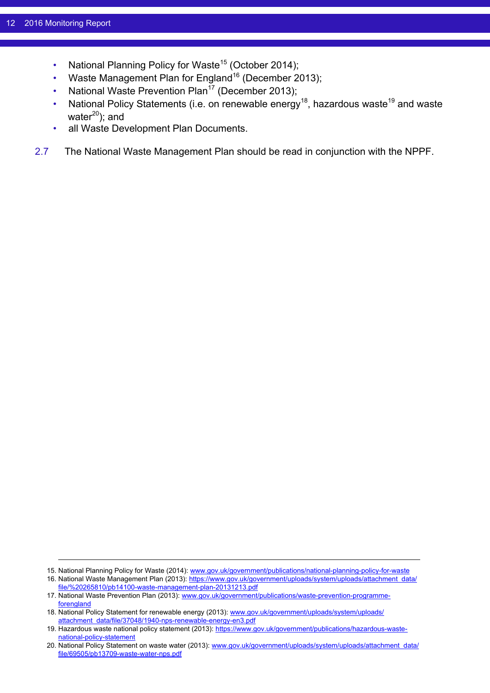- National Planning Policy for Waste<sup>15</sup> (October 2014);
- Waste Management Plan for England<sup>16</sup> (December 2013);
- National Waste Prevention Plan<sup>17</sup> (December 2013);
- National Policy Statements (i.e. on renewable energy<sup>18</sup>, hazardous waste<sup>19</sup> and waste water $^{20}$ ); and
- all Waste Development Plan Documents.
- 2.7 The National Waste Management Plan should be read in conjunction with the NPPF.

<sup>15.</sup> National Planning Policy for Waste (2014): [www.gov.uk/government/publications/national-planning-policy-for-waste](http://www.gov.uk/government/publications/national-planning-policy-for-waste)

<sup>16.</sup> National Waste Management Plan (2013): [https://www.gov.uk/government/uploads/system/uploads/attachment\\_data/](https://www.gov.uk/government/uploads/system/uploads/attachment_data/file/%20265810/pb14100-waste-management-plan-20131213.pdf) [file/%20265810/pb14100-waste-management-plan-20131213.pdf](https://www.gov.uk/government/uploads/system/uploads/attachment_data/file/%20265810/pb14100-waste-management-plan-20131213.pdf)

<sup>17.</sup> National Waste Prevention Plan (2013): [www.gov.uk/government/publications/waste-prevention-programme](http://www.gov.uk/government/publications/waste-prevention-programme-forengland)[forengland](http://www.gov.uk/government/publications/waste-prevention-programme-forengland)

<sup>18.</sup> National Policy Statement for renewable energy (2013): [www.gov.uk/government/uploads/system/uploads/](http://www.gov.uk/government/uploads/system/uploads/%20attachment_data/file/37048/1940-nps-renewable-energy-en3.pdf) [attachment\\_data/file/37048/1940-nps-renewable-energy-en3.pdf](http://www.gov.uk/government/uploads/system/uploads/%20attachment_data/file/37048/1940-nps-renewable-energy-en3.pdf)

<sup>19.</sup> Hazardous waste national policy statement (2013): [https://www.gov.uk/government/publications/hazardous-waste](https://www.gov.uk/government/publications/hazardous-waste-national-policy-statement)[national-policy-statement](https://www.gov.uk/government/publications/hazardous-waste-national-policy-statement)

<sup>20.</sup> National Policy Statement on waste water (2013): [www.gov.uk/government/uploads/system/uploads/attachment\\_data/](http://www.gov.uk/government/uploads/system/uploads/attachment_data/file/69505/pb13709-waste-water-nps.pdf) [file/69505/pb13709-waste-water-nps.pdf](http://www.gov.uk/government/uploads/system/uploads/attachment_data/file/69505/pb13709-waste-water-nps.pdf)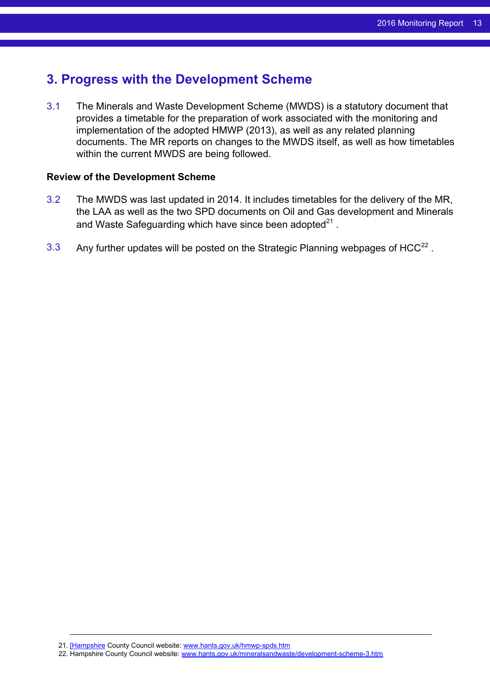## <span id="page-12-0"></span>**3. Progress with the Development Scheme**

3.1 The Minerals and Waste Development Scheme (MWDS) is a statutory document that provides a timetable for the preparation of work associated with the monitoring and implementation of the adopted HMWP (2013), as well as any related planning documents. The MR reports on changes to the MWDS itself, as well as how timetables within the current MWDS are being followed.

#### **Review of the Development Scheme**

- 3.2 The MWDS was last updated in 2014. It includes timetables for the delivery of the MR, the LAA as well as the two SPD documents on Oil and Gas development and Minerals and Waste Safeguarding which have since been adopted $^{21}$  .
- 3.3 Any further updates will be posted on the Strategic Planning webpages of HCC<sup>22</sup>.

<sup>21.</sup> [\[Hampshire](http://www.hants.gov.uk/mineralsandwaste/development-scheme-3.htm) County Council website: [www.hants.gov.uk/hmwp-spds.htm](http://www.hants.gov.uk/hmwp-spds.htm)

<sup>22.</sup> Hampshire County Council website: [www.hants.gov.uk/mineralsandwaste/development-scheme-3.htm](http://www.hants.gov.uk/mineralsandwaste/development-scheme-3.htm)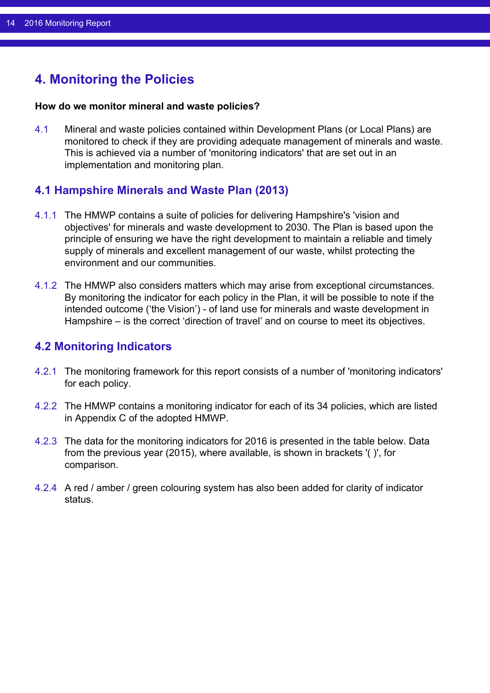# <span id="page-13-0"></span>**4. Monitoring the Policies**

#### **How do we monitor mineral and waste policies?**

4.1 Mineral and waste policies contained within Development Plans (or Local Plans) are monitored to check if they are providing adequate management of minerals and waste. This is achieved via a number of 'monitoring indicators' that are set out in an implementation and monitoring plan.

### <span id="page-13-1"></span>**4.1 Hampshire Minerals and Waste Plan (2013)**

- 4.1.1 The HMWP contains a suite of policies for delivering Hampshire's 'vision and objectives' for minerals and waste development to 2030. The Plan is based upon the principle of ensuring we have the right development to maintain a reliable and timely supply of minerals and excellent management of our waste, whilst protecting the environment and our communities.
- 4.1.2 The HMWP also considers matters which may arise from exceptional circumstances. By monitoring the indicator for each policy in the Plan, it will be possible to note if the intended outcome ('the Vision') - of land use for minerals and waste development in Hampshire – is the correct 'direction of travel' and on course to meet its objectives.

### <span id="page-13-2"></span>**4.2 Monitoring Indicators**

- 4.2.1 The monitoring framework for this report consists of a number of 'monitoring indicators' for each policy.
- 4.2.2 The HMWP contains a monitoring indicator for each of its 34 policies, which are listed in Appendix C of the adopted HMWP.
- 4.2.3 The data for the monitoring indicators for 2016 is presented in the table below. Data from the previous year (2015), where available, is shown in brackets '( )', for comparison.
- 4.2.4 A red / amber / green colouring system has also been added for clarity of indicator status.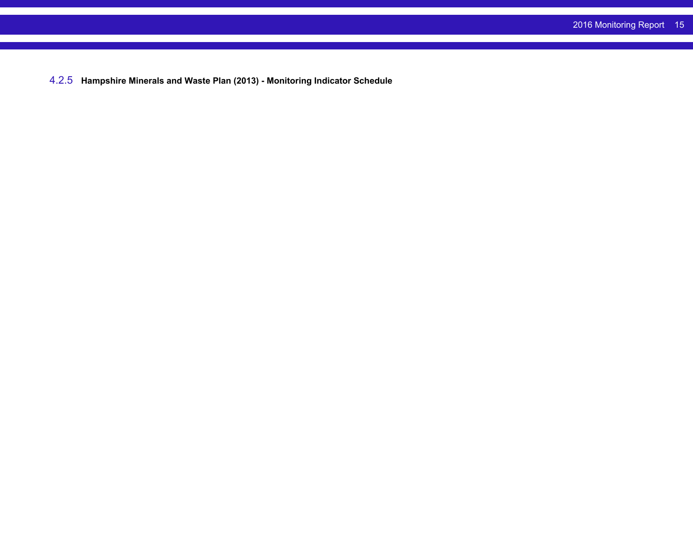4.2.5 **Hampshire Minerals and Waste Plan (2013) - Monitoring Indicator Schedule**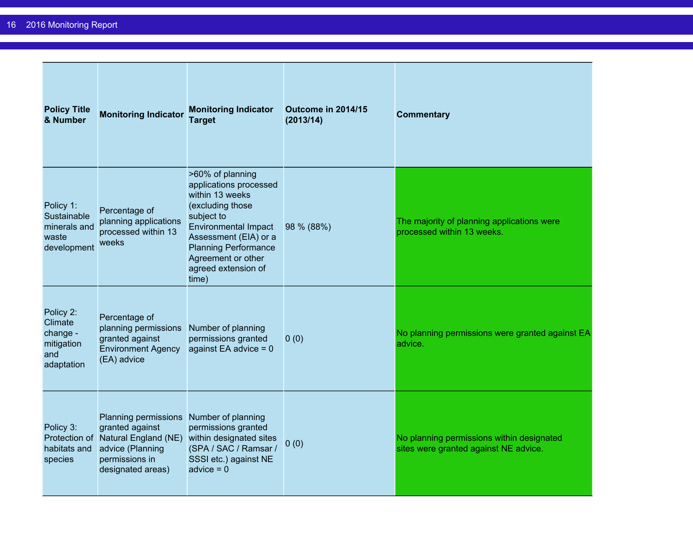| <b>Policy Title</b><br>& Number                                     | <b>Monitoring Indicator</b>                                                                                                                                 | <b>Monitoring Indicator</b><br><b>Target</b>                                                                                                                                                                                                 | Outcome in 2014/15<br>(2013/14) | <b>Commentary</b>                                                                  |
|---------------------------------------------------------------------|-------------------------------------------------------------------------------------------------------------------------------------------------------------|----------------------------------------------------------------------------------------------------------------------------------------------------------------------------------------------------------------------------------------------|---------------------------------|------------------------------------------------------------------------------------|
| Policy 1:<br>Sustainable<br>minerals and<br>waste<br>development    | Percentage of<br>planning applications<br>processed within 13<br>weeks                                                                                      | >60% of planning<br>applications processed<br>within 13 weeks<br>(excluding those<br>subject to<br><b>Environmental Impact</b><br>Assessment (EIA) or a<br><b>Planning Performance</b><br>Agreement or other<br>agreed extension of<br>time) | 98 % (88%)                      | The majority of planning applications were<br>processed within 13 weeks.           |
| Policy 2:<br>Climate<br>change -<br>mitigation<br>and<br>adaptation | Percentage of<br>planning permissions<br>granted against<br><b>Environment Agency</b><br>(EA) advice                                                        | Number of planning<br>permissions granted<br>against EA advice $= 0$                                                                                                                                                                         | 0(0)                            | No planning permissions were granted against EA<br>advice.                         |
| Policy 3:<br>habitats and<br>species                                | Planning permissions Number of planning<br>granted against<br>Protection of Natural England (NE)<br>advice (Planning<br>permissions in<br>designated areas) | permissions granted<br>within designated sites<br>(SPA / SAC / Ramsar /<br>SSSI etc.) against NE<br>advice $= 0$                                                                                                                             | 0(0)                            | No planning permissions within designated<br>sites were granted against NE advice. |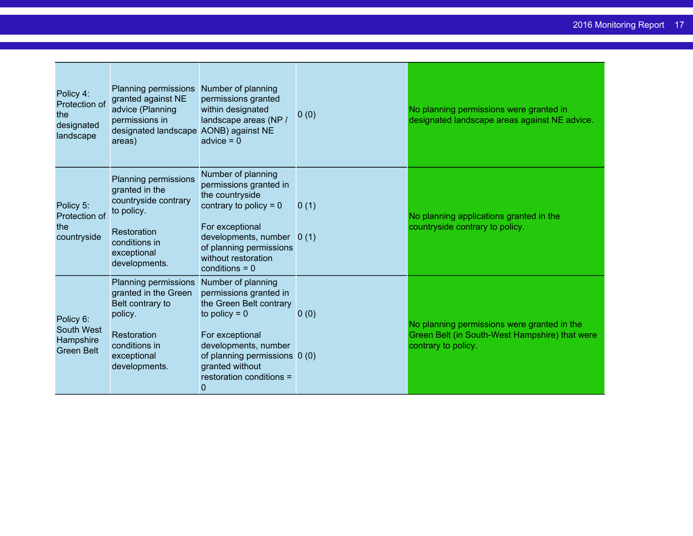| Policy 4:<br>Protection of<br>the<br>designated<br>landscape     | Planning permissions Number of planning<br>granted against NE<br>advice (Planning<br>permissions in<br>designated landscape AONB) against NE<br>areas) | permissions granted<br>within designated<br>landscape areas (NP /<br>$advice = 0$                                                                                                                                                    | 0(0) | No planning permissions were granted in<br>designated landscape areas against NE advice.                             |
|------------------------------------------------------------------|--------------------------------------------------------------------------------------------------------------------------------------------------------|--------------------------------------------------------------------------------------------------------------------------------------------------------------------------------------------------------------------------------------|------|----------------------------------------------------------------------------------------------------------------------|
| Policy 5:<br>Protection of<br>the<br>countryside                 | Planning permissions<br>granted in the<br>countryside contrary<br>to policy.<br>Restoration<br>conditions in<br>exceptional<br>developments.           | Number of planning<br>permissions granted in<br>the countryside<br>contrary to policy = $0$<br>For exceptional<br>developments, number $0(1)$<br>of planning permissions<br>without restoration<br>$conditions = 0$                  | 0(1) | No planning applications granted in the<br>countryside contrary to policy.                                           |
| Policy 6:<br><b>South West</b><br>Hampshire<br><b>Green Belt</b> | Planning permissions<br>granted in the Green<br>Belt contrary to<br>policy.<br>Restoration<br>conditions in<br>exceptional<br>developments.            | Number of planning<br>permissions granted in<br>the Green Belt contrary<br>to policy $= 0$<br>For exceptional<br>developments, number<br>of planning permissions 0 (0)<br>granted without<br>restoration conditions =<br>$\mathbf 0$ | 0(0) | No planning permissions were granted in the<br>Green Belt (in South-West Hampshire) that were<br>contrary to policy. |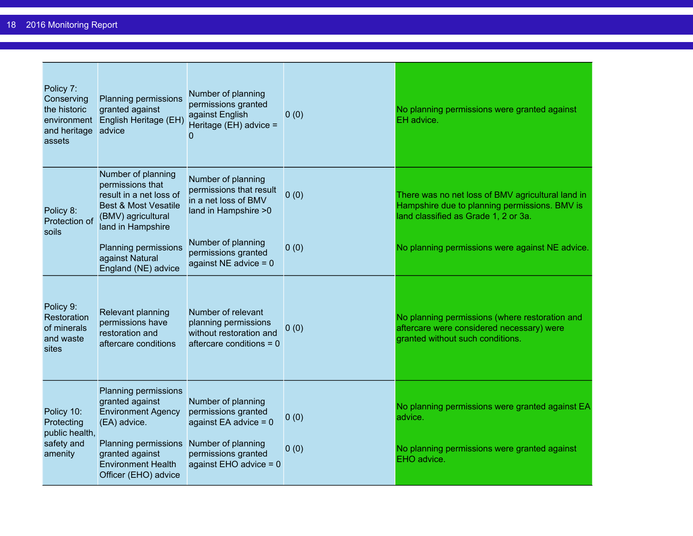| Policy 7:<br>Conserving<br>the historic<br>environment<br>and heritage<br>assets | Planning permissions<br>granted against<br>English Heritage (EH)<br>advice                                                                                                           | Number of planning<br>permissions granted<br>against English<br>Heritage (EH) advice =<br>$\Omega$                                            | 0(0)         | No planning permissions were granted against<br>EH advice.                                                                                 |
|----------------------------------------------------------------------------------|--------------------------------------------------------------------------------------------------------------------------------------------------------------------------------------|-----------------------------------------------------------------------------------------------------------------------------------------------|--------------|--------------------------------------------------------------------------------------------------------------------------------------------|
| Policy 8:<br>Protection of<br>soils                                              | Number of planning<br>permissions that<br>result in a net loss of<br><b>Best &amp; Most Vesatile</b><br>(BMV) agricultural<br>land in Hampshire                                      | Number of planning<br>permissions that result<br>in a net loss of BMV<br>land in Hampshire > 0                                                | 0(0)         | There was no net loss of BMV agricultural land in<br>Hampshire due to planning permissions. BMV is<br>land classified as Grade 1, 2 or 3a. |
|                                                                                  | Planning permissions<br>against Natural<br>England (NE) advice                                                                                                                       | Number of planning<br>permissions granted<br>against NE advice $= 0$                                                                          | 0(0)         | No planning permissions were against NE advice.                                                                                            |
| Policy 9:<br>Restoration<br>of minerals<br>and waste<br>sites                    | Relevant planning<br>permissions have<br>restoration and<br>aftercare conditions                                                                                                     | Number of relevant<br>planning permissions<br>without restoration and<br>aftercare conditions $= 0$                                           | 0(0)         | No planning permissions (where restoration and<br>aftercare were considered necessary) were<br>granted without such conditions.            |
| Policy 10:<br>Protecting<br>public health,<br>safety and<br>amenity              | Planning permissions<br>granted against<br><b>Environment Agency</b><br>(EA) advice.<br>Planning permissions<br>granted against<br><b>Environment Health</b><br>Officer (EHO) advice | Number of planning<br>permissions granted<br>against EA advice $= 0$<br>Number of planning<br>permissions granted<br>against EHO advice $= 0$ | 0(0)<br>0(0) | No planning permissions were granted against EA<br>advice.<br>No planning permissions were granted against<br>EHO advice.                  |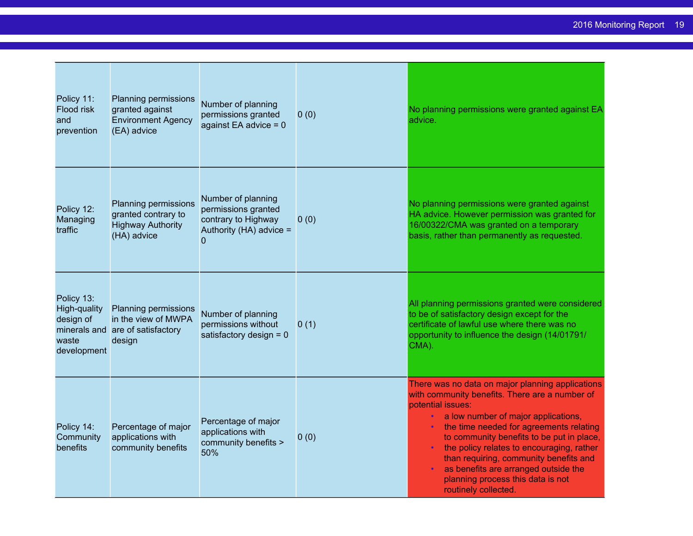| Policy 11:<br>Flood risk<br>and<br>prevention                   | <b>Planning permissions</b><br>granted against<br><b>Environment Agency</b><br>(EA) advice | Number of planning<br>permissions granted<br>against EA advice $= 0$                             | 0(0) | No planning permissions were granted against EA<br>advice.                                                                                                                                                                                                                                                                                                                                                                                                        |
|-----------------------------------------------------------------|--------------------------------------------------------------------------------------------|--------------------------------------------------------------------------------------------------|------|-------------------------------------------------------------------------------------------------------------------------------------------------------------------------------------------------------------------------------------------------------------------------------------------------------------------------------------------------------------------------------------------------------------------------------------------------------------------|
| Policy 12:<br>Managing<br>traffic                               | Planning permissions<br>granted contrary to<br><b>Highway Authority</b><br>(HA) advice     | Number of planning<br>permissions granted<br>contrary to Highway<br>Authority (HA) advice =<br>0 | 0(0) | No planning permissions were granted against<br>HA advice. However permission was granted for<br>16/00322/CMA was granted on a temporary<br>basis, rather than permanently as requested.                                                                                                                                                                                                                                                                          |
| Policy 13:<br>High-quality<br>design of<br>waste<br>development | Planning permissions<br>in the view of MWPA<br>minerals and are of satisfactory<br>design  | Number of planning<br>permissions without<br>satisfactory design $= 0$                           | 0(1) | All planning permissions granted were considered<br>to be of satisfactory design except for the<br>certificate of lawful use where there was no<br>opportunity to influence the design (14/01791/<br>CMA).                                                                                                                                                                                                                                                        |
| Policy 14:<br>Community<br>benefits                             | Percentage of major<br>applications with<br>community benefits                             | Percentage of major<br>applications with<br>community benefits ><br>50%                          | 0(0) | There was no data on major planning applications<br>with community benefits. There are a number of<br>potential issues:<br>a low number of major applications,<br>$\bullet$ .<br>the time needed for agreements relating<br>to community benefits to be put in place,<br>the policy relates to encouraging, rather<br>than requiring, community benefits and<br>as benefits are arranged outside the<br>planning process this data is not<br>routinely collected. |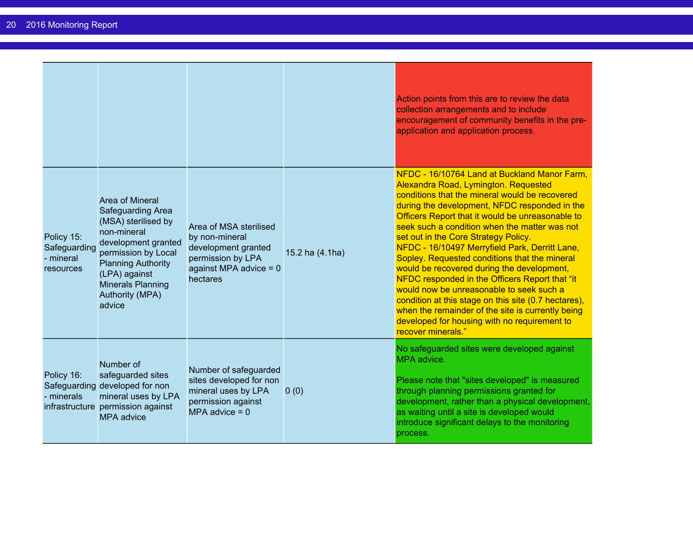|                                                      |                                                                                                                                                                                                                                               |                                                                                                                              |                 | Action points from this are to review the data<br>collection arrangements and to include<br>encouragement of community benefits in the pre-<br>application and application process.                                                                                                                                                                                                                                                                                                                                                                                                                                                                                                                                                                                    |
|------------------------------------------------------|-----------------------------------------------------------------------------------------------------------------------------------------------------------------------------------------------------------------------------------------------|------------------------------------------------------------------------------------------------------------------------------|-----------------|------------------------------------------------------------------------------------------------------------------------------------------------------------------------------------------------------------------------------------------------------------------------------------------------------------------------------------------------------------------------------------------------------------------------------------------------------------------------------------------------------------------------------------------------------------------------------------------------------------------------------------------------------------------------------------------------------------------------------------------------------------------------|
| Policy 15:<br>Safeguarding<br>- mineral<br>resources | <b>Area of Mineral</b><br><b>Safeguarding Area</b><br>(MSA) sterilised by<br>non-mineral<br>development granted<br>permission by Local<br><b>Planning Authority</b><br>(LPA) against<br><b>Minerals Planning</b><br>Authority (MPA)<br>advice | Area of MSA sterilised<br>by non-mineral<br>development granted<br>permission by LPA<br>against MPA advice = $0$<br>hectares | 15.2 ha (4.1ha) | NFDC - 16/10764 Land at Buckland Manor Farm,<br>Alexandra Road, Lymington. Requested<br>conditions that the mineral would be recovered<br>during the development, NFDC responded in the<br>Officers Report that it would be unreasonable to<br>seek such a condition when the matter was not<br>set out in the Core Strategy Policy.<br>NFDC - 16/10497 Merryfield Park, Derritt Lane,<br>Sopley. Requested conditions that the mineral<br>would be recovered during the development,<br>NFDC responded in the Officers Report that "it<br>would now be unreasonable to seek such a<br>condition at this stage on this site (0.7 hectares),<br>when the remainder of the site is currently being<br>developed for housing with no requirement to<br>recover minerals." |
| Policy 16:<br>- minerals                             | Number of<br>safeguarded sites<br>Safeguarding developed for non<br>mineral uses by LPA<br>infrastructure permission against<br><b>MPA</b> advice                                                                                             | Number of safeguarded<br>sites developed for non<br>mineral uses by LPA<br>permission against<br>MPA advice $= 0$            | 0(0)            | No safeguarded sites were developed against<br>MPA advice.<br>Please note that "sites developed" is measured<br>through planning permissions granted for<br>development, rather than a physical development,<br>as waiting until a site is developed would<br>introduce significant delays to the monitoring<br>process.                                                                                                                                                                                                                                                                                                                                                                                                                                               |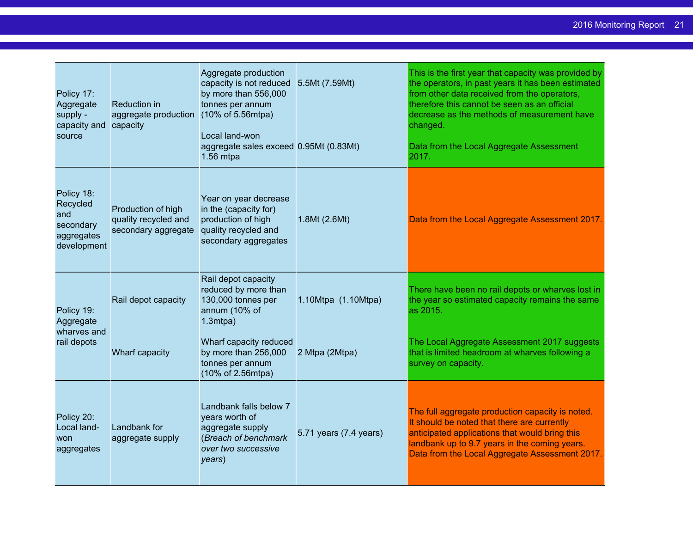| Policy 17:<br>Aggregate<br>supply -<br>capacity and<br>source           | Reduction in<br>aggregate production<br>capacity                  | Aggregate production<br>capacity is not reduced<br>by more than 556,000<br>tonnes per annum<br>(10% of 5.56mtpa)<br>Local land-won<br>aggregate sales exceed 0.95Mt (0.83Mt)<br>$1.56$ mtpa | 5.5Mt (7.59Mt)         | This is the first year that capacity was provided by<br>the operators, in past years it has been estimated<br>from other data received from the operators,<br>therefore this cannot be seen as an official<br>decrease as the methods of measurement have<br>changed.<br>Data from the Local Aggregate Assessment<br>2017. |
|-------------------------------------------------------------------------|-------------------------------------------------------------------|---------------------------------------------------------------------------------------------------------------------------------------------------------------------------------------------|------------------------|----------------------------------------------------------------------------------------------------------------------------------------------------------------------------------------------------------------------------------------------------------------------------------------------------------------------------|
| Policy 18:<br>Recycled<br>and<br>secondary<br>aggregates<br>development | Production of high<br>quality recycled and<br>secondary aggregate | Year on year decrease<br>in the (capacity for)<br>production of high<br>quality recycled and<br>secondary aggregates                                                                        | 1.8Mt (2.6Mt)          | Data from the Local Aggregate Assessment 2017.                                                                                                                                                                                                                                                                             |
| Policy 19:<br>Aggregate                                                 | Rail depot capacity                                               | Rail depot capacity<br>reduced by more than<br>130,000 tonnes per<br>annum (10% of<br>$1.3$ mtpa $)$                                                                                        | 1.10Mtpa (1.10Mtpa)    | There have been no rail depots or wharves lost in<br>the year so estimated capacity remains the same<br>as 2015.                                                                                                                                                                                                           |
| wharves and<br>rail depots                                              | Wharf capacity                                                    | Wharf capacity reduced<br>by more than 256,000<br>tonnes per annum<br>(10% of 2.56mtpa)                                                                                                     | 2 Mtpa (2Mtpa)         | The Local Aggregate Assessment 2017 suggests<br>that is limited headroom at wharves following a<br>survey on capacity.                                                                                                                                                                                                     |
| Policy 20:<br>Local land-<br>won<br>aggregates                          | Landbank for<br>aggregate supply                                  | Landbank falls below 7<br>years worth of<br>aggregate supply<br>(Breach of benchmark<br>over two successive<br>years)                                                                       | 5.71 years (7.4 years) | The full aggregate production capacity is noted.<br>It should be noted that there are currently<br>anticipated applications that would bring this<br>landbank up to 9.7 years in the coming years.<br>Data from the Local Aggregate Assessment 2017.                                                                       |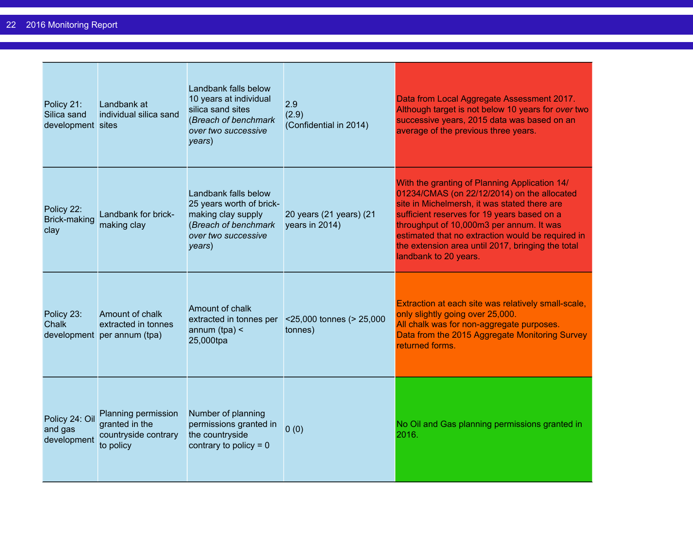| Policy 21:<br>Silica sand<br>development sites | Landbank at<br>individual silica sand                                      | Landbank falls below<br>10 years at individual<br>silica sand sites<br>(Breach of benchmark<br>over two successive<br>years)    | 2.9<br>(2.9)<br>(Confidential in 2014)    | Data from Local Aggregate Assessment 2017.<br>Although target is not below 10 years for over two<br>successive years, 2015 data was based on an<br>average of the previous three years.                                                                                                                                                                                    |
|------------------------------------------------|----------------------------------------------------------------------------|---------------------------------------------------------------------------------------------------------------------------------|-------------------------------------------|----------------------------------------------------------------------------------------------------------------------------------------------------------------------------------------------------------------------------------------------------------------------------------------------------------------------------------------------------------------------------|
| Policy 22:<br>Brick-making<br>clay             | Landbank for brick-<br>making clay                                         | Landbank falls below<br>25 years worth of brick-<br>making clay supply<br>(Breach of benchmark<br>over two successive<br>years) | 20 years (21 years) (21<br>years in 2014) | With the granting of Planning Application 14/<br>01234/CMAS (on 22/12/2014) on the allocated<br>site in Michelmersh, it was stated there are<br>sufficient reserves for 19 years based on a<br>throughput of 10,000m3 per annum. It was<br>estimated that no extraction would be required in<br>the extension area until 2017, bringing the total<br>landbank to 20 years. |
| Policy 23:<br>Chalk                            | Amount of chalk<br>extracted in tonnes<br>development per annum (tpa)      | Amount of chalk<br>extracted in tonnes per<br>annum $(tpa)$ <<br>25,000tpa                                                      | <25,000 tonnes (> 25,000<br>tonnes)       | Extraction at each site was relatively small-scale,<br>only slightly going over 25,000.<br>All chalk was for non-aggregate purposes.<br>Data from the 2015 Aggregate Monitoring Survey<br>returned forms.                                                                                                                                                                  |
| Policy 24: Oil<br>and gas<br>development       | Planning permission<br>granted in the<br>countryside contrary<br>to policy | Number of planning<br>permissions granted in<br>the countryside<br>contrary to policy = $0$                                     | 0(0)                                      | No Oil and Gas planning permissions granted in<br>2016.                                                                                                                                                                                                                                                                                                                    |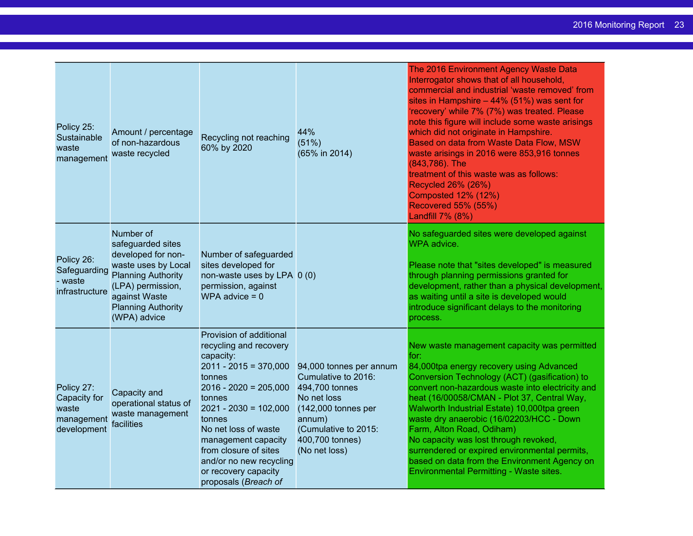| Policy 25:<br>Sustainable<br>waste<br>management                 | Amount / percentage<br>of non-hazardous<br>waste recycled                                                                                                                                   | Recycling not reaching<br>60% by 2020                                                                                                                                                                                                                                                                                            | 44%<br>(51%)<br>(65% in 2014)                                                                                                                                                  | The 2016 Environment Agency Waste Data<br>Interrogator shows that of all household,<br>commercial and industrial 'waste removed' from<br>sites in Hampshire $-44\%$ (51%) was sent for<br>'recovery' while 7% (7%) was treated. Please<br>note this figure will include some waste arisings<br>which did not originate in Hampshire.<br>Based on data from Waste Data Flow, MSW<br>waste arisings in 2016 were 853,916 tonnes<br>(843,786). The<br>treatment of this waste was as follows:<br><b>Recycled 26% (26%)</b><br><b>Composted 12% (12%)</b><br><b>Recovered 55% (55%)</b><br>Landfill 7% (8%) |
|------------------------------------------------------------------|---------------------------------------------------------------------------------------------------------------------------------------------------------------------------------------------|----------------------------------------------------------------------------------------------------------------------------------------------------------------------------------------------------------------------------------------------------------------------------------------------------------------------------------|--------------------------------------------------------------------------------------------------------------------------------------------------------------------------------|---------------------------------------------------------------------------------------------------------------------------------------------------------------------------------------------------------------------------------------------------------------------------------------------------------------------------------------------------------------------------------------------------------------------------------------------------------------------------------------------------------------------------------------------------------------------------------------------------------|
| Policy 26:<br>Safeguarding<br>- waste<br>infrastructure          | Number of<br>safeguarded sites<br>developed for non-<br>waste uses by Local<br><b>Planning Authority</b><br>(LPA) permission,<br>against Waste<br><b>Planning Authority</b><br>(WPA) advice | Number of safeguarded<br>sites developed for<br>non-waste uses by LPA 0 (0)<br>permission, against<br>WPA advice $= 0$                                                                                                                                                                                                           |                                                                                                                                                                                | No safeguarded sites were developed against<br>WPA advice.<br>Please note that "sites developed" is measured<br>through planning permissions granted for<br>development, rather than a physical development,<br>as waiting until a site is developed would<br>introduce significant delays to the monitoring<br>process.                                                                                                                                                                                                                                                                                |
| Policy 27:<br>Capacity for<br>waste<br>management<br>development | Capacity and<br>operational status of<br>waste management<br>facilities                                                                                                                     | Provision of additional<br>recycling and recovery<br>capacity:<br>$2011 - 2015 = 370,000$<br>tonnes<br>$2016 - 2020 = 205,000$<br>tonnes<br>$2021 - 2030 = 102,000$<br>tonnes<br>No net loss of waste<br>management capacity<br>from closure of sites<br>and/or no new recycling<br>or recovery capacity<br>proposals (Breach of | 94,000 tonnes per annum<br>Cumulative to 2016:<br>494,700 tonnes<br>No net loss<br>$(142,000$ tonnes per<br>annum)<br>(Cumulative to 2015:<br>400,700 tonnes)<br>(No net loss) | New waste management capacity was permitted<br>for:<br>84,000tpa energy recovery using Advanced<br>Conversion Technology (ACT) (gasification) to<br>convert non-hazardous waste into electricity and<br>heat (16/00058/CMAN - Plot 37, Central Way,<br>Walworth Industrial Estate) 10,000tpa green<br>waste dry anaerobic (16/02203/HCC - Down<br>Farm, Alton Road, Odiham)<br>No capacity was lost through revoked,<br>surrendered or expired environmental permits,<br>based on data from the Environment Agency on<br>Environmental Permitting - Waste sites.                                        |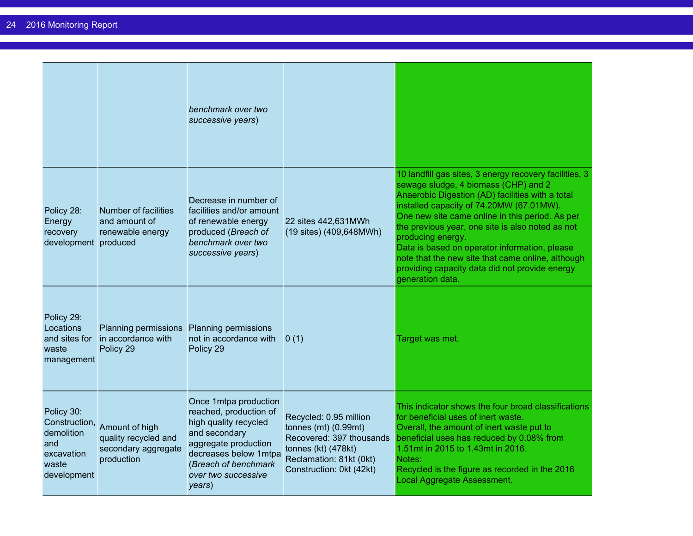|                                                                                        |                                                                              | benchmark over two<br>successive years)                                                                                                                                                             |                                                                                                                                                              |                                                                                                                                                                                                                                                                                                                                                                                                                                                                                                        |
|----------------------------------------------------------------------------------------|------------------------------------------------------------------------------|-----------------------------------------------------------------------------------------------------------------------------------------------------------------------------------------------------|--------------------------------------------------------------------------------------------------------------------------------------------------------------|--------------------------------------------------------------------------------------------------------------------------------------------------------------------------------------------------------------------------------------------------------------------------------------------------------------------------------------------------------------------------------------------------------------------------------------------------------------------------------------------------------|
| Policy 28:<br>Energy<br>recovery<br>development produced                               | Number of facilities<br>and amount of<br>renewable energy                    | Decrease in number of<br>facilities and/or amount<br>of renewable energy<br>produced (Breach of<br>benchmark over two<br>successive years)                                                          | 22 sites 442,631MWh<br>(19 sites) (409,648MWh)                                                                                                               | 10 landfill gas sites, 3 energy recovery facilities, 3<br>sewage sludge, 4 biomass (CHP) and 2<br>Anaerobic Digestion (AD) facilities with a total<br>installed capacity of 74.20MW (67.01MW).<br>One new site came online in this period. As per<br>the previous year, one site is also noted as not<br>producing energy.<br>Data is based on operator information, please<br>note that the new site that came online, although<br>providing capacity data did not provide energy<br>generation data. |
| Policy 29:<br>Locations<br>and sites for<br>waste<br>management                        | Planning permissions Planning permissions<br>in accordance with<br>Policy 29 | not in accordance with<br>Policy 29                                                                                                                                                                 | 0(1)                                                                                                                                                         | Target was met.                                                                                                                                                                                                                                                                                                                                                                                                                                                                                        |
| Policy 30:<br>Construction,<br>demolition<br>and<br>excavation<br>waste<br>development | Amount of high<br>quality recycled and<br>secondary aggregate<br>production  | Once 1mtpa production<br>reached, production of<br>high quality recycled<br>and secondary<br>aggregate production<br>decreases below 1mtpa<br>(Breach of benchmark<br>over two successive<br>years) | Recycled: 0.95 million<br>tonnes $(mt)$ $(0.99mt)$<br>Recovered: 397 thousands<br>tonnes (kt) (478kt)<br>Reclamation: 81kt (0kt)<br>Construction: 0kt (42kt) | This indicator shows the four broad classifications<br>for beneficial uses of inert waste.<br>Overall, the amount of inert waste put to<br>beneficial uses has reduced by 0.08% from<br>1.51mt in 2015 to 1.43mt in 2016.<br>Notes:<br>Recycled is the figure as recorded in the 2016<br>Local Aggregate Assessment.                                                                                                                                                                                   |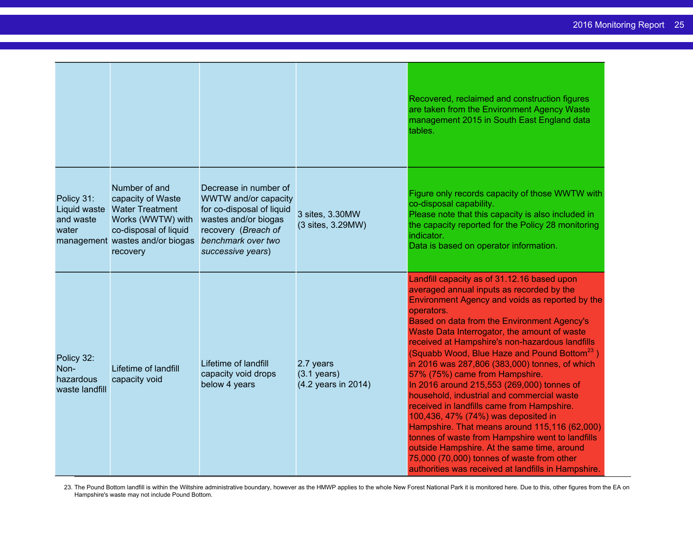|                                                   |                                                                                                                                                           |                                                                                                                                                                      |                                                           | Recovered, reclaimed and construction figures<br>are taken from the Environment Agency Waste<br>management 2015 in South East England data<br>tables.                                                                                                                                                                                                                                                                                                                                                                                                                                                                                                                                                                                                                                                                                                                                                 |
|---------------------------------------------------|-----------------------------------------------------------------------------------------------------------------------------------------------------------|----------------------------------------------------------------------------------------------------------------------------------------------------------------------|-----------------------------------------------------------|-------------------------------------------------------------------------------------------------------------------------------------------------------------------------------------------------------------------------------------------------------------------------------------------------------------------------------------------------------------------------------------------------------------------------------------------------------------------------------------------------------------------------------------------------------------------------------------------------------------------------------------------------------------------------------------------------------------------------------------------------------------------------------------------------------------------------------------------------------------------------------------------------------|
| Policy 31:<br>Liquid waste<br>and waste<br>water  | Number of and<br>capacity of Waste<br><b>Water Treatment</b><br>Works (WWTW) with<br>co-disposal of liquid<br>management wastes and/or biogas<br>recovery | Decrease in number of<br>WWTW and/or capacity<br>for co-disposal of liquid<br>wastes and/or biogas<br>recovery (Breach of<br>benchmark over two<br>successive years) | 3 sites, 3.30MW<br>(3 sites, 3.29MW)                      | Figure only records capacity of those WWTW with<br>co-disposal capability.<br>Please note that this capacity is also included in<br>the capacity reported for the Policy 28 monitoring<br>indicator.<br>Data is based on operator information.                                                                                                                                                                                                                                                                                                                                                                                                                                                                                                                                                                                                                                                        |
| Policy 32:<br>Non-<br>hazardous<br>waste landfill | Lifetime of landfill<br>capacity void                                                                                                                     | Lifetime of landfill<br>capacity void drops<br>below 4 years                                                                                                         | 2.7 years<br>$(3.1 \text{ years})$<br>(4.2 years in 2014) | Landfill capacity as of 31.12.16 based upon<br>averaged annual inputs as recorded by the<br>Environment Agency and voids as reported by the<br>operators.<br>Based on data from the Environment Agency's<br>Waste Data Interrogator, the amount of waste<br>received at Hampshire's non-hazardous landfills<br>(Squabb Wood, Blue Haze and Pound Bottom <sup>23</sup> )<br>in 2016 was 287,806 (383,000) tonnes, of which<br>57% (75%) came from Hampshire.<br>In 2016 around 215,553 (269,000) tonnes of<br>household, industrial and commercial waste<br>received in landfills came from Hampshire.<br>100,436, 47% (74%) was deposited in<br>Hampshire. That means around 115,116 (62,000)<br>tonnes of waste from Hampshire went to landfills<br>outside Hampshire. At the same time, around<br>75,000 (70,000) tonnes of waste from other<br>authorities was received at landfills in Hampshire. |

23. The Pound Bottom landfill is within the Wiltshire administrative boundary, however as the HMWP applies to the whole New Forest National Park it is monitored here. Due to this, other figures from the EA on Hampshire's waste may not include Pound Bottom.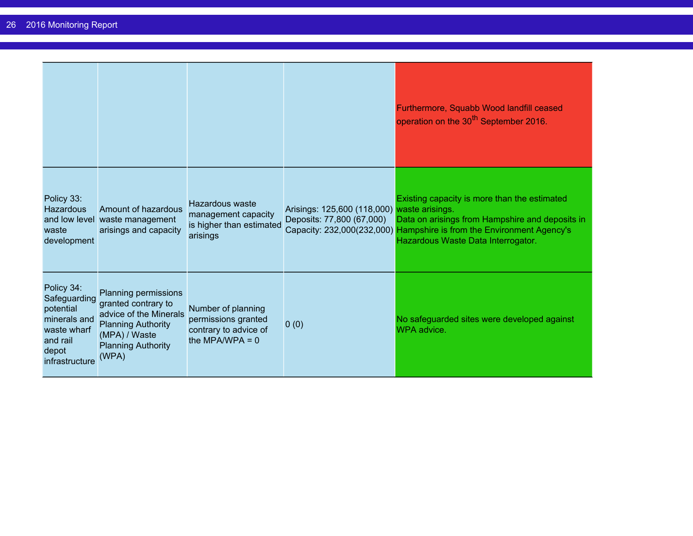|                                                                                                               |                                                                                                                                                           |                                                                                         |                                                                          | Furthermore, Squabb Wood landfill ceased<br>operation on the 30 <sup>th</sup> September 2016.                                                                                                                  |
|---------------------------------------------------------------------------------------------------------------|-----------------------------------------------------------------------------------------------------------------------------------------------------------|-----------------------------------------------------------------------------------------|--------------------------------------------------------------------------|----------------------------------------------------------------------------------------------------------------------------------------------------------------------------------------------------------------|
| Policy 33:<br><b>Hazardous</b><br>waste<br>development                                                        | Amount of hazardous<br>and low level waste management<br>arisings and capacity                                                                            | Hazardous waste<br>management capacity<br>is higher than estimated<br>arisings          | Arisings: 125,600 (118,000) waste arisings.<br>Deposits: 77,800 (67,000) | Existing capacity is more than the estimated<br>Data on arisings from Hampshire and deposits in<br>Capacity: 232,000(232,000) Hampshire is from the Environment Agency's<br>Hazardous Waste Data Interrogator. |
| Policy 34:<br>Safeguarding<br>potential<br>minerals and<br>waste wharf<br>and rail<br>depot<br>infrastructure | Planning permissions<br>granted contrary to<br>advice of the Minerals<br><b>Planning Authority</b><br>(MPA) / Waste<br><b>Planning Authority</b><br>(WPA) | Number of planning<br>permissions granted<br>contrary to advice of<br>the MPA/WPA = $0$ | 0(0)                                                                     | No safeguarded sites were developed against<br>WPA advice.                                                                                                                                                     |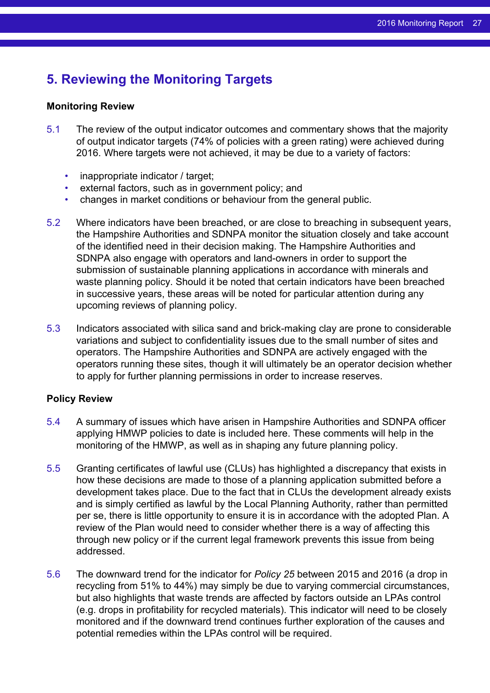## <span id="page-26-0"></span>**5. Reviewing the Monitoring Targets**

#### **Monitoring Review**

- 5.1 The review of the output indicator outcomes and commentary shows that the majority of output indicator targets (74% of policies with a green rating) were achieved during 2016. Where targets were not achieved, it may be due to a variety of factors:
	- inappropriate indicator / target;
	- external factors, such as in government policy; and
	- changes in market conditions or behaviour from the general public.
- 5.2 Where indicators have been breached, or are close to breaching in subsequent years, the Hampshire Authorities and SDNPA monitor the situation closely and take account of the identified need in their decision making. The Hampshire Authorities and SDNPA also engage with operators and land-owners in order to support the submission of sustainable planning applications in accordance with minerals and waste planning policy. Should it be noted that certain indicators have been breached in successive years, these areas will be noted for particular attention during any upcoming reviews of planning policy.
- 5.3 Indicators associated with silica sand and brick-making clay are prone to considerable variations and subject to confidentiality issues due to the small number of sites and operators. The Hampshire Authorities and SDNPA are actively engaged with the operators running these sites, though it will ultimately be an operator decision whether to apply for further planning permissions in order to increase reserves.

#### **Policy Review**

- 5.4 A summary of issues which have arisen in Hampshire Authorities and SDNPA officer applying HMWP policies to date is included here. These comments will help in the monitoring of the HMWP, as well as in shaping any future planning policy.
- 5.5 Granting certificates of lawful use (CLUs) has highlighted a discrepancy that exists in how these decisions are made to those of a planning application submitted before a development takes place. Due to the fact that in CLUs the development already exists and is simply certified as lawful by the Local Planning Authority, rather than permitted per se, there is little opportunity to ensure it is in accordance with the adopted Plan. A review of the Plan would need to consider whether there is a way of affecting this through new policy or if the current legal framework prevents this issue from being addressed.
- 5.6 The downward trend for the indicator for *Policy 25* between 2015 and 2016 (a drop in recycling from 51% to 44%) may simply be due to varying commercial circumstances, but also highlights that waste trends are affected by factors outside an LPAs control (e.g. drops in profitability for recycled materials). This indicator will need to be closely monitored and if the downward trend continues further exploration of the causes and potential remedies within the LPAs control will be required.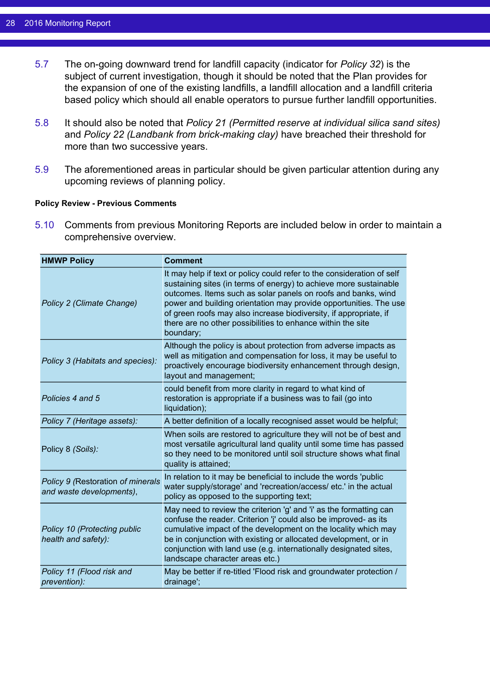- 5.7 The on-going downward trend for landfill capacity (indicator for *Policy 32*) is the subject of current investigation, though it should be noted that the Plan provides for the expansion of one of the existing landfills, a landfill allocation and a landfill criteria based policy which should all enable operators to pursue further landfill opportunities.
- 5.8 It should also be noted that *Policy 21 (Permitted reserve at individual silica sand sites)* and *Policy 22 (Landbank from brick-making clay)* have breached their threshold for more than two successive years.
- 5.9 The aforementioned areas in particular should be given particular attention during any upcoming reviews of planning policy.

#### **Policy Review - Previous Comments**

5.10 Comments from previous Monitoring Reports are included below in order to maintain a comprehensive overview.

| <b>HMWP Policy</b>                                            | <b>Comment</b>                                                                                                                                                                                                                                                                                                                                                                                                                     |
|---------------------------------------------------------------|------------------------------------------------------------------------------------------------------------------------------------------------------------------------------------------------------------------------------------------------------------------------------------------------------------------------------------------------------------------------------------------------------------------------------------|
| Policy 2 (Climate Change)                                     | It may help if text or policy could refer to the consideration of self<br>sustaining sites (in terms of energy) to achieve more sustainable<br>outcomes. Items such as solar panels on roofs and banks, wind<br>power and building orientation may provide opportunities. The use<br>of green roofs may also increase biodiversity, if appropriate, if<br>there are no other possibilities to enhance within the site<br>boundary; |
| Policy 3 (Habitats and species):                              | Although the policy is about protection from adverse impacts as<br>well as mitigation and compensation for loss, it may be useful to<br>proactively encourage biodiversity enhancement through design,<br>layout and management;                                                                                                                                                                                                   |
| Policies 4 and 5                                              | could benefit from more clarity in regard to what kind of<br>restoration is appropriate if a business was to fail (go into<br>liquidation);                                                                                                                                                                                                                                                                                        |
| Policy 7 (Heritage assets):                                   | A better definition of a locally recognised asset would be helpful;                                                                                                                                                                                                                                                                                                                                                                |
| Policy 8 (Soils):                                             | When soils are restored to agriculture they will not be of best and<br>most versatile agricultural land quality until some time has passed<br>so they need to be monitored until soil structure shows what final<br>quality is attained;                                                                                                                                                                                           |
| Policy 9 (Restoration of minerals<br>and waste developments), | In relation to it may be beneficial to include the words 'public<br>water supply/storage' and 'recreation/access/ etc.' in the actual<br>policy as opposed to the supporting text;                                                                                                                                                                                                                                                 |
| Policy 10 (Protecting public<br>health and safety):           | May need to review the criterion 'g' and 'i' as the formatting can<br>confuse the reader. Criterion 'j' could also be improved- as its<br>cumulative impact of the development on the locality which may<br>be in conjunction with existing or allocated development, or in<br>conjunction with land use (e.g. internationally designated sites,<br>landscape character areas etc.)                                                |
| Policy 11 (Flood risk and<br>prevention):                     | May be better if re-titled 'Flood risk and groundwater protection /<br>drainage';                                                                                                                                                                                                                                                                                                                                                  |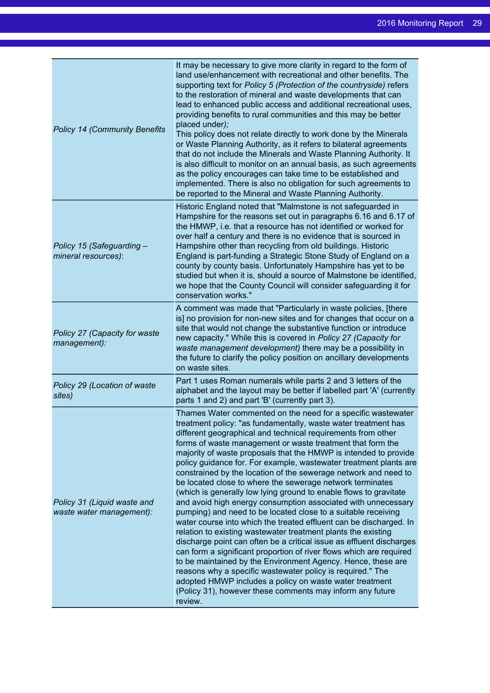| <b>Policy 14 (Community Benefits</b>                    | It may be necessary to give more clarity in regard to the form of<br>land use/enhancement with recreational and other benefits. The<br>supporting text for Policy 5 (Protection of the countryside) refers<br>to the restoration of mineral and waste developments that can<br>lead to enhanced public access and additional recreational uses,<br>providing benefits to rural communities and this may be better<br>placed under);<br>This policy does not relate directly to work done by the Minerals<br>or Waste Planning Authority, as it refers to bilateral agreements<br>that do not include the Minerals and Waste Planning Authority. It<br>is also difficult to monitor on an annual basis, as such agreements<br>as the policy encourages can take time to be established and<br>implemented. There is also no obligation for such agreements to<br>be reported to the Mineral and Waste Planning Authority.                                                                                                                                                                                                                                                                                                                                                                            |
|---------------------------------------------------------|-----------------------------------------------------------------------------------------------------------------------------------------------------------------------------------------------------------------------------------------------------------------------------------------------------------------------------------------------------------------------------------------------------------------------------------------------------------------------------------------------------------------------------------------------------------------------------------------------------------------------------------------------------------------------------------------------------------------------------------------------------------------------------------------------------------------------------------------------------------------------------------------------------------------------------------------------------------------------------------------------------------------------------------------------------------------------------------------------------------------------------------------------------------------------------------------------------------------------------------------------------------------------------------------------------|
| Policy 15 (Safeguarding -<br>mineral resources):        | Historic England noted that "Malmstone is not safeguarded in<br>Hampshire for the reasons set out in paragraphs 6.16 and 6.17 of<br>the HMWP, i.e. that a resource has not identified or worked for<br>over half a century and there is no evidence that is sourced in<br>Hampshire other than recycling from old buildings. Historic<br>England is part-funding a Strategic Stone Study of England on a<br>county by county basis. Unfortunately Hampshire has yet to be<br>studied but when it is, should a source of Malmstone be identified,<br>we hope that the County Council will consider safeguarding it for<br>conservation works."                                                                                                                                                                                                                                                                                                                                                                                                                                                                                                                                                                                                                                                       |
| Policy 27 (Capacity for waste<br>management):           | A comment was made that "Particularly in waste policies, [there<br>is] no provision for non-new sites and for changes that occur on a<br>site that would not change the substantive function or introduce<br>new capacity." While this is covered in Policy 27 (Capacity for<br>waste management development) there may be a possibility in<br>the future to clarify the policy position on ancillary developments<br>on waste sites.                                                                                                                                                                                                                                                                                                                                                                                                                                                                                                                                                                                                                                                                                                                                                                                                                                                               |
| Policy 29 (Location of waste<br>sites)                  | Part 1 uses Roman numerals while parts 2 and 3 letters of the<br>alphabet and the layout may be better if labelled part 'A' (currently<br>parts 1 and 2) and part 'B' (currently part 3).                                                                                                                                                                                                                                                                                                                                                                                                                                                                                                                                                                                                                                                                                                                                                                                                                                                                                                                                                                                                                                                                                                           |
| Policy 31 (Liquid waste and<br>waste water management): | Thames Water commented on the need for a specific wastewater<br>treatment policy: "as fundamentally, waste water treatment has<br>different geographical and technical requirements from other<br>forms of waste management or waste treatment that form the<br>majority of waste proposals that the HMWP is intended to provide<br>policy guidance for. For example, wastewater treatment plants are<br>constrained by the location of the sewerage network and need to<br>be located close to where the sewerage network terminates<br>(which is generally low lying ground to enable flows to gravitate<br>and avoid high energy consumption associated with unnecessary<br>pumping) and need to be located close to a suitable receiving<br>water course into which the treated effluent can be discharged. In<br>relation to existing wastewater treatment plants the existing<br>discharge point can often be a critical issue as effluent discharges<br>can form a significant proportion of river flows which are required<br>to be maintained by the Environment Agency. Hence, these are<br>reasons why a specific wastewater policy is required." The<br>adopted HMWP includes a policy on waste water treatment<br>(Policy 31), however these comments may inform any future<br>review. |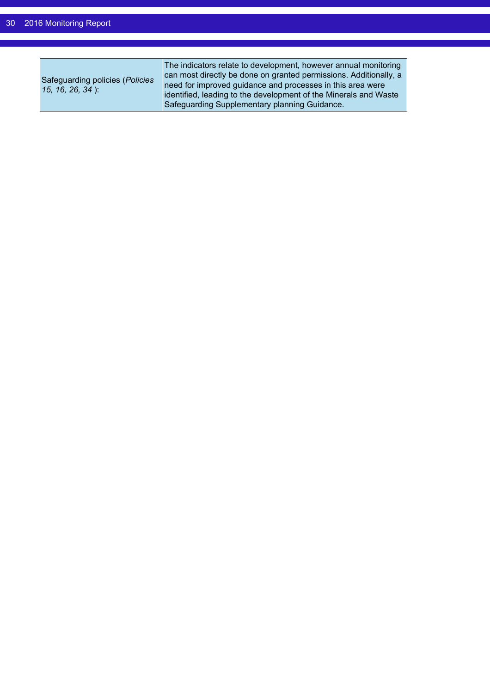| Safeguarding policies (Policies<br>15, 16, 26, 34): | The indicators relate to development, however annual monitoring<br>can most directly be done on granted permissions. Additionally, a<br>need for improved guidance and processes in this area were<br>identified, leading to the development of the Minerals and Waste<br>Safeguarding Supplementary planning Guidance. |
|-----------------------------------------------------|-------------------------------------------------------------------------------------------------------------------------------------------------------------------------------------------------------------------------------------------------------------------------------------------------------------------------|
|-----------------------------------------------------|-------------------------------------------------------------------------------------------------------------------------------------------------------------------------------------------------------------------------------------------------------------------------------------------------------------------------|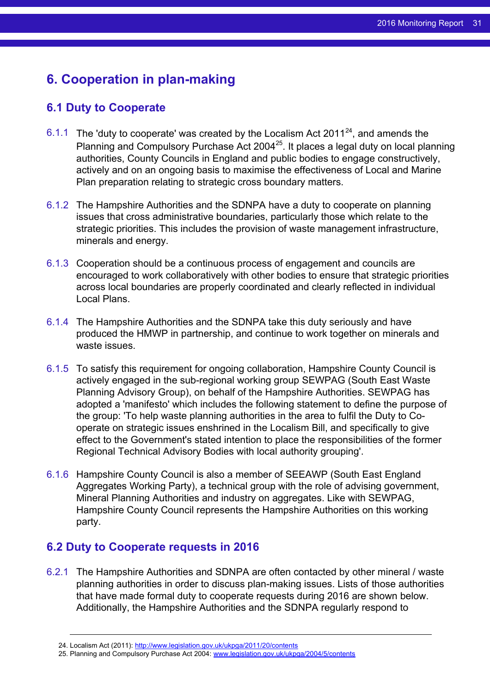# <span id="page-30-0"></span>**6. Cooperation in plan-making**

### <span id="page-30-1"></span>**6.1 Duty to Cooperate**

- 6.1.1 The 'duty to cooperate' was created by the Localism Act 2011<sup>24</sup>, and amends the Planning and Compulsory Purchase Act 2004<sup>25</sup>. It places a legal duty on local planning authorities, County Councils in England and public bodies to engage constructively, actively and on an ongoing basis to maximise the effectiveness of Local and Marine Plan preparation relating to strategic cross boundary matters.
- 6.1.2 The Hampshire Authorities and the SDNPA have a duty to cooperate on planning issues that cross administrative boundaries, particularly those which relate to the strategic priorities. This includes the provision of waste management infrastructure, minerals and energy.
- 6.1.3 Cooperation should be a continuous process of engagement and councils are encouraged to work collaboratively with other bodies to ensure that strategic priorities across local boundaries are properly coordinated and clearly reflected in individual Local Plans.
- 6.1.4 The Hampshire Authorities and the SDNPA take this duty seriously and have produced the HMWP in partnership, and continue to work together on minerals and waste issues.
- 6.1.5 To satisfy this requirement for ongoing collaboration, Hampshire County Council is actively engaged in the sub-regional working group SEWPAG (South East Waste Planning Advisory Group), on behalf of the Hampshire Authorities. SEWPAG has adopted a 'manifesto' which includes the following statement to define the purpose of the group: 'To help waste planning authorities in the area to fulfil the Duty to Cooperate on strategic issues enshrined in the Localism Bill, and specifically to give effect to the Government's stated intention to place the responsibilities of the former Regional Technical Advisory Bodies with local authority grouping'.
- 6.1.6 Hampshire County Council is also a member of SEEAWP (South East England Aggregates Working Party), a technical group with the role of advising government, Mineral Planning Authorities and industry on aggregates. Like with SEWPAG, Hampshire County Council represents the Hampshire Authorities on this working party.

### <span id="page-30-2"></span>**6.2 Duty to Cooperate requests in 2016**

6.2.1 The Hampshire Authorities and SDNPA are often contacted by other mineral / waste planning authorities in order to discuss plan-making issues. Lists of those authorities that have made formal duty to cooperate requests during 2016 are shown below. Additionally, the Hampshire Authorities and the SDNPA regularly respond to

<sup>24.</sup> Localism Act (2011): <http://www.legislation.gov.uk/ukpga/2011/20/contents>

<sup>25.</sup> Planning and Compulsory Purchase Act 2004: [www.legislation.gov.uk/ukpga/2004/5/contents](http://www.legislation.gov.uk/ukpga/2004/5/contents)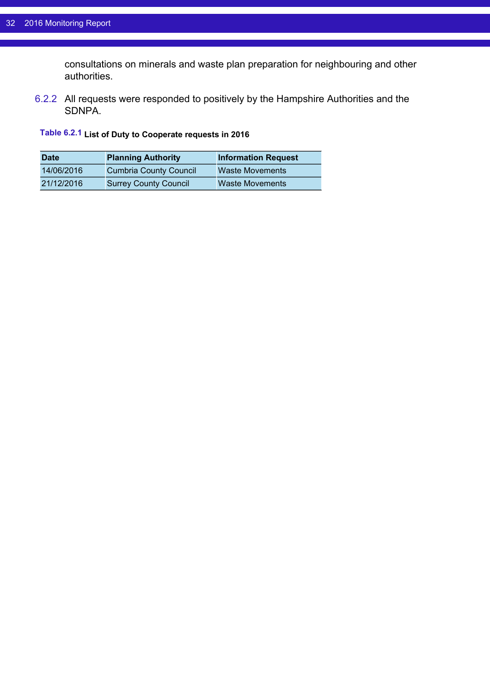consultations on minerals and waste plan preparation for neighbouring and other authorities.

6.2.2 All requests were responded to positively by the Hampshire Authorities and the SDNPA.

#### **Table 6.2.1 List of Duty to Cooperate requests in 2016**

| <b>Date</b> | <b>Planning Authority</b>     | <b>Information Request</b> |
|-------------|-------------------------------|----------------------------|
| 14/06/2016  | <b>Cumbria County Council</b> | <b>Waste Movements</b>     |
| 21/12/2016  | <b>Surrey County Council</b>  | <b>Waste Movements</b>     |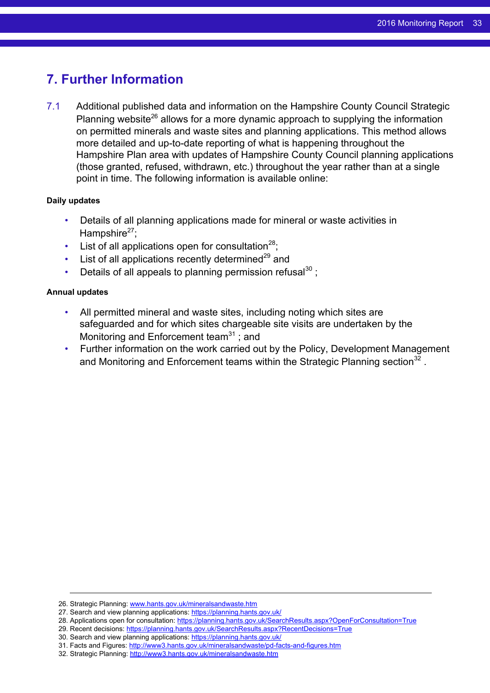## <span id="page-32-0"></span>**7. Further Information**

7.1 Additional published data and information on the Hampshire County Council Strategic Planning website<sup>26</sup> allows for a more dynamic approach to supplying the information on permitted minerals and waste sites and planning applications. This method allows more detailed and up-to-date reporting of what is happening throughout the Hampshire Plan area with updates of Hampshire County Council planning applications (those granted, refused, withdrawn, etc.) throughout the year rather than at a single point in time. The following information is available online:

#### **Daily updates**

- Details of all planning applications made for mineral or waste activities in Hampshire $^{27}$ :
- List of all applications open for consultation<sup>28</sup>;
- List of all applications recently determined $^{29}$  and
- Details of all appeals to planning permission refusal $^{30}$ :

#### **Annual updates**

- All permitted mineral and waste sites, including noting which sites are safeguarded and for which sites chargeable site visits are undertaken by the Monitoring and Enforcement team $31$ ; and
- Further information on the work carried out by the Policy, Development Management and Monitoring and Enforcement teams within the Strategic Planning section<sup>32</sup>.

- 28. Applications open for consultation: <https://planning.hants.gov.uk/SearchResults.aspx?OpenForConsultation=True>
- 29. Recent decisions: <https://planning.hants.gov.uk/SearchResults.aspx?RecentDecisions=True>

<sup>26.</sup> Strategic Planning: [www.hants.gov.uk/mineralsandwaste.htm](http://www.hants.gov.uk/mineralsandwaste.htm)

<sup>27.</sup> Search and view planning applications: <https://planning.hants.gov.uk/>

<sup>30.</sup> Search and view planning applications: <https://planning.hants.gov.uk/>

<sup>31.</sup> Facts and Figures: <http://www3.hants.gov.uk/mineralsandwaste/pd-facts-and-figures.htm>

<sup>32.</sup> Strategic Planning: <http://www3.hants.gov.uk/mineralsandwaste.htm>